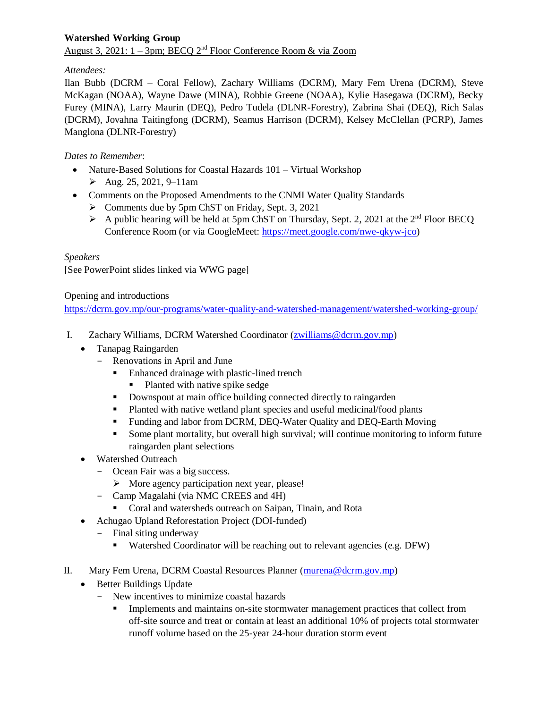# **Watershed Working Group** August 3, 2021:  $1 - 3$ pm; BECQ  $2<sup>nd</sup>$  Floor Conference Room & via Zoom

# *Attendees:*

Ilan Bubb (DCRM – Coral Fellow), Zachary Williams (DCRM), Mary Fem Urena (DCRM), Steve McKagan (NOAA), Wayne Dawe (MINA), Robbie Greene (NOAA), Kylie Hasegawa (DCRM), Becky Furey (MINA), Larry Maurin (DEQ), Pedro Tudela (DLNR-Forestry), Zabrina Shai (DEQ), Rich Salas (DCRM), Jovahna Taitingfong (DCRM), Seamus Harrison (DCRM), Kelsey McClellan (PCRP), James Manglona (DLNR-Forestry)

# *Dates to Remember*:

- Nature-Based Solutions for Coastal Hazards 101 Virtual Workshop
	- $\blacktriangleright$  Aug. 25, 2021, 9–11am
- Comments on the Proposed Amendments to the CNMI Water Quality Standards
	- $\triangleright$  Comments due by 5pm ChST on Friday, Sept. 3, 2021
	- A public hearing will be held at 5pm ChST on Thursday, Sept. 2, 2021 at the  $2<sup>nd</sup>$  Floor BECO Conference Room (or via GoogleMeet: [https://meet.google.com/nwe-qkyw-jco\)](https://meet.google.com/nwe-qkyw-jco)

# *Speakers*

[See PowerPoint slides linked via WWG page]

Opening and introductions

<https://dcrm.gov.mp/our-programs/water-quality-and-watershed-management/watershed-working-group/>

- I. Zachary Williams, DCRM Watershed Coordinator [\(zwilliams@dcrm.gov.mp\)](mailto:zwilliams@dcrm.gov.mp)
	- Tanapag Raingarden
		- Renovations in April and June
			- Enhanced drainage with plastic-lined trench
				- Planted with native spike sedge
			- Downspout at main office building connected directly to raingarden
			- Planted with native wetland plant species and useful medicinal/food plants
			- Funding and labor from DCRM, DEQ-Water Quality and DEQ-Earth Moving
			- Some plant mortality, but overall high survival; will continue monitoring to inform future raingarden plant selections
	- Watershed Outreach
		- Ocean Fair was a big success.
			- $\triangleright$  More agency participation next year, please!
		- Camp Magalahi (via NMC CREES and 4H)
			- **Coral and watersheds outreach on Saipan, Tinain, and Rota**
	- Achugao Upland Reforestation Project (DOI-funded)
		- Final siting underway
			- Watershed Coordinator will be reaching out to relevant agencies (e.g. DFW)
- II. Mary Fem Urena, DCRM Coastal Resources Planner [\(murena@dcrm.gov.mp\)](mailto:murena@dcrm.gov.mp)
	- Better Buildings Update
		- New incentives to minimize coastal hazards
			- **IMPLEMENT MANUS IMPLEMENT MANUS IMPLEMENT MANUS** Implements and maintains on-site stormwater management practices that collect from off-site source and treat or contain at least an additional 10% of projects total stormwater runoff volume based on the 25-year 24-hour duration storm event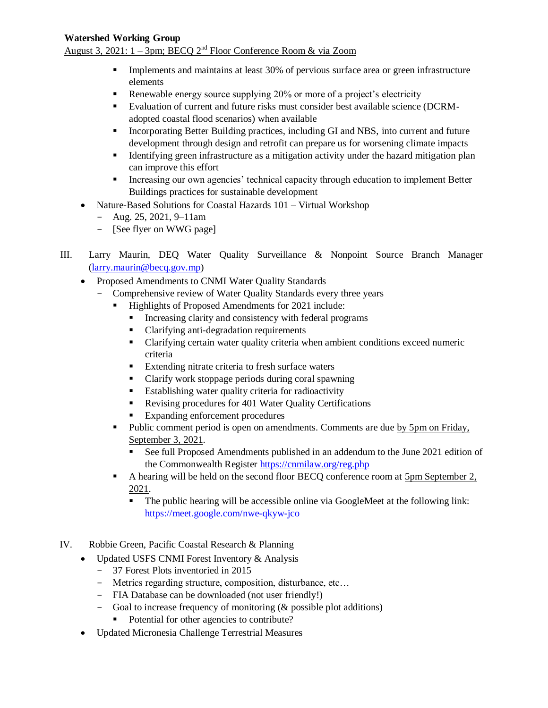### **Watershed Working Group**

August 3, 2021:  $1 - 3$ pm; BECQ  $2<sup>nd</sup>$  Floor Conference Room & via Zoom

- **IMPLEM** Implements and maintains at least 30% of pervious surface area or green infrastructure elements
- Renewable energy source supplying 20% or more of a project's electricity
- Evaluation of current and future risks must consider best available science (DCRMadopted coastal flood scenarios) when available
- Incorporating Better Building practices, including GI and NBS, into current and future development through design and retrofit can prepare us for worsening climate impacts
- Identifying green infrastructure as a mitigation activity under the hazard mitigation plan can improve this effort
- **Increasing our own agencies' technical capacity through education to implement Better** Buildings practices for sustainable development
- Nature-Based Solutions for Coastal Hazards 101 Virtual Workshop
	- $-$  Aug. 25, 2021, 9–11am
	- [See flyer on WWG page]
- III. Larry Maurin, DEQ Water Quality Surveillance & Nonpoint Source Branch Manager [\(larry.maurin@becq.gov.mp\)](mailto:larry.maurin@becq.gov.mp)
	- Proposed Amendments to CNMI Water Quality Standards
		- Comprehensive review of Water Quality Standards every three years
			- Highlights of Proposed Amendments for 2021 include:
				- Increasing clarity and consistency with federal programs
				- Clarifying anti-degradation requirements
				- Clarifying certain water quality criteria when ambient conditions exceed numeric criteria
				- **Extending nitrate criteria to fresh surface waters**
				- Clarify work stoppage periods during coral spawning
				- **Establishing water quality criteria for radioactivity**
				- Revising procedures for 401 Water Quality Certifications
				- Expanding enforcement procedures
			- Public comment period is open on amendments. Comments are due by 5pm on Friday, September 3, 2021.
				- See full Proposed Amendments published in an addendum to the June 2021 edition of the Commonwealth Register<https://cnmilaw.org/reg.php>
			- A hearing will be held on the second floor BECQ conference room at 5pm September 2, 2021.
				- The public hearing will be accessible online via GoogleMeet at the following link: <https://meet.google.com/nwe-qkyw-jco>
- IV. Robbie Green, Pacific Coastal Research & Planning
	- Updated USFS CNMI Forest Inventory & Analysis
		- 37 Forest Plots inventoried in 2015
		- Metrics regarding structure, composition, disturbance, etc…
		- FIA Database can be downloaded (not user friendly!)
		- Goal to increase frequency of monitoring (& possible plot additions)
			- Potential for other agencies to contribute?
	- Updated Micronesia Challenge Terrestrial Measures